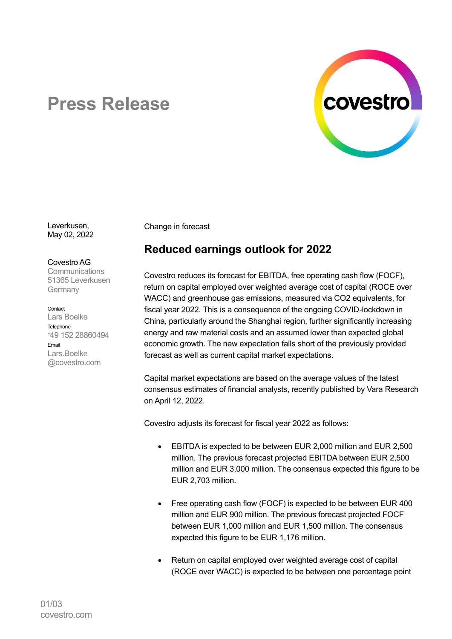

## **Press Release**

Leverkusen, May 02, 2022

Covestro AG **Communications** 51365 Leverkusen Germany

Contact Lars Boelke Telephone <sup>+</sup>49 152 28860494 Email Lars.Boelke @covestro.com

Change in forecast

## **Reduced earnings outlook for 2022**

Covestro reduces its forecast for EBITDA, free operating cash flow (FOCF), return on capital employed over weighted average cost of capital (ROCE over WACC) and greenhouse gas emissions, measured via CO2 equivalents, for fiscal year 2022. This is a consequence of the ongoing COVID-lockdown in China, particularly around the Shanghai region, further significantly increasing energy and raw material costs and an assumed lower than expected global economic growth. The new expectation falls short of the previously provided forecast as well as current capital market expectations.

Capital market expectations are based on the average values of the latest consensus estimates of financial analysts, recently published by Vara Research on April 12, 2022.

Covestro adjusts its forecast for fiscal year 2022 as follows:

- EBITDA is expected to be between EUR 2,000 million and EUR 2,500 million. The previous forecast projected EBITDA between EUR 2,500 million and EUR 3,000 million. The consensus expected this figure to be EUR 2,703 million.
- Free operating cash flow (FOCF) is expected to be between EUR 400 million and EUR 900 million. The previous forecast projected FOCF between EUR 1,000 million and EUR 1,500 million. The consensus expected this figure to be EUR 1,176 million.
- Return on capital employed over weighted average cost of capital (ROCE over WACC) is expected to be between one percentage point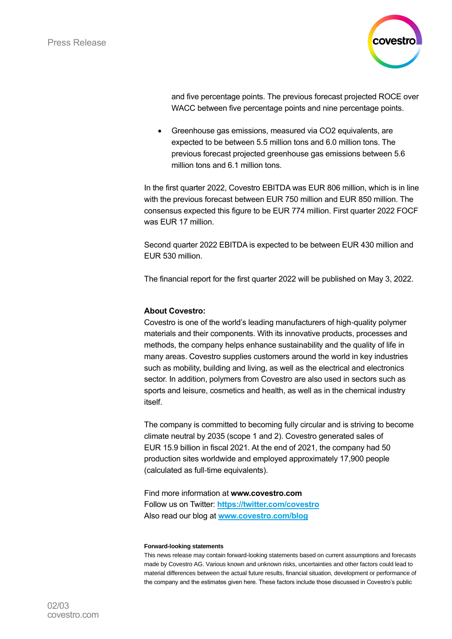

and five percentage points. The previous forecast projected ROCE over WACC between five percentage points and nine percentage points.

• Greenhouse gas emissions, measured via CO2 equivalents, are expected to be between 5.5 million tons and 6.0 million tons. The previous forecast projected greenhouse gas emissions between 5.6 million tons and 6.1 million tons.

In the first quarter 2022, Covestro EBITDA was EUR 806 million, which is in line with the previous forecast between EUR 750 million and EUR 850 million. The consensus expected this figure to be EUR 774 million. First quarter 2022 FOCF was EUR 17 million.

Second quarter 2022 EBITDA is expected to be between EUR 430 million and EUR 530 million.

The financial report for the first quarter 2022 will be published on May 3, 2022.

## **About Covestro:**

Covestro is one of the world's leading manufacturers of high-quality polymer materials and their components. With its innovative products, processes and methods, the company helps enhance sustainability and the quality of life in many areas. Covestro supplies customers around the world in key industries such as mobility, building and living, as well as the electrical and electronics sector. In addition, polymers from Covestro are also used in sectors such as sports and leisure, cosmetics and health, as well as in the chemical industry itself.

The company is committed to becoming fully circular and is striving to become climate neutral by 2035 (scope 1 and 2). Covestro generated sales of EUR 15.9 billion in fiscal 2021. At the end of 2021, the company had 50 production sites worldwide and employed approximately 17,900 people (calculated as full-time equivalents).

Find more information at **[www.covestro.com](http://www.covestro.com/)** Follow us on Twitter: **[https://twitter.com/covestro](http://www.twitter.com/covestro)** Also read our blog at **[www.covestro.com/blog](http://www.covestro.com/blog)**

## **Forward-looking statements**

This news release may contain forward-looking statements based on current assumptions and forecasts made by Covestro AG. Various known and unknown risks, uncertainties and other factors could lead to material differences between the actual future results, financial situation, development or performance of the company and the estimates given here. These factors include those discussed in Covestro's public